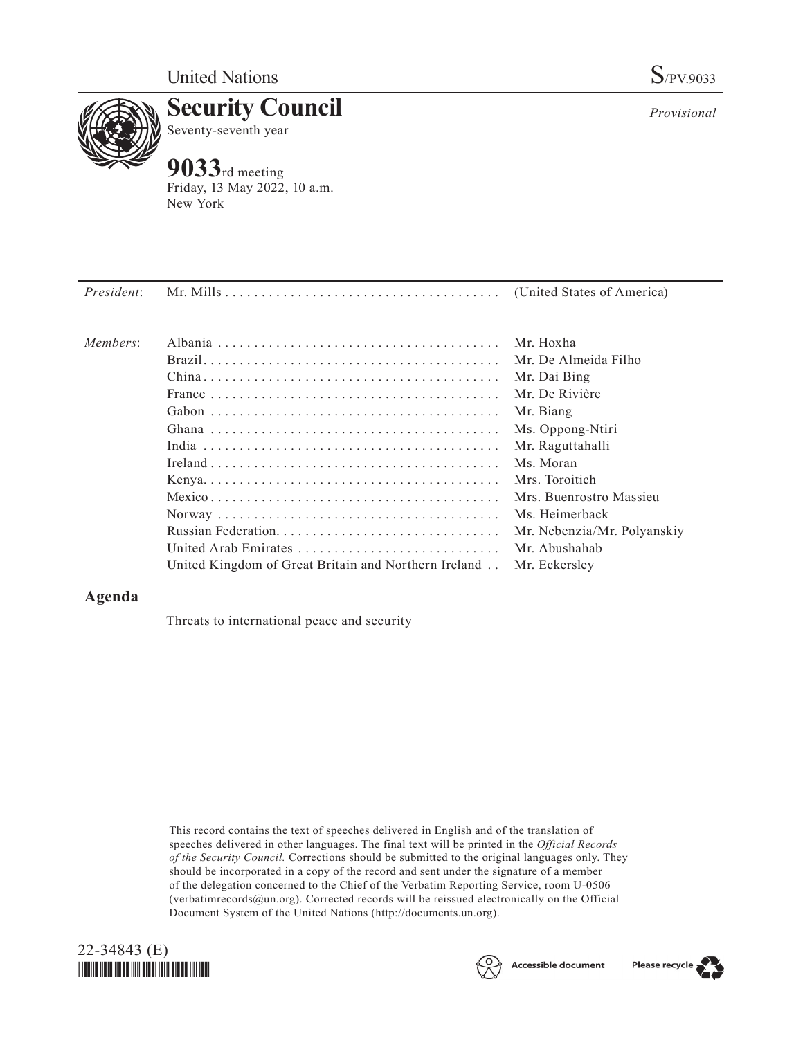

**Security Council** Seventy-seventh year

## **9033**rd meeting

Friday, 13 May 2022, 10 a.m. New York

*Provisional*

| <i>President:</i> |                                                      | (United States of America)  |
|-------------------|------------------------------------------------------|-----------------------------|
|                   |                                                      |                             |
| Members:          |                                                      | Mr. Hoxha                   |
|                   |                                                      | Mr. De Almeida Filho        |
|                   |                                                      | Mr. Dai Bing                |
|                   |                                                      | Mr. De Rivière              |
|                   |                                                      | Mr. Biang                   |
|                   |                                                      | Ms. Oppong-Ntiri            |
|                   |                                                      | Mr. Raguttahalli            |
|                   |                                                      | Ms. Moran                   |
|                   |                                                      | Mrs. Toroitich              |
|                   |                                                      | Mrs. Buenrostro Massieu     |
|                   |                                                      | Ms. Heimerback              |
|                   |                                                      | Mr. Nebenzia/Mr. Polyanskiy |
|                   | United Arab Emirates                                 | Mr. Abushahab               |
|                   | United Kingdom of Great Britain and Northern Ireland | Mr. Eckersley               |

## **Agenda**

Threats to international peace and security

This record contains the text of speeches delivered in English and of the translation of speeches delivered in other languages. The final text will be printed in the *Official Records of the Security Council.* Corrections should be submitted to the original languages only. They should be incorporated in a copy of the record and sent under the signature of a member of the delegation concerned to the Chief of the Verbatim Reporting Service, room U-0506 (verbatimrecords@un.org). Corrected records will be reissued electronically on the Official Document System of the United Nations (http://documents.un.org).





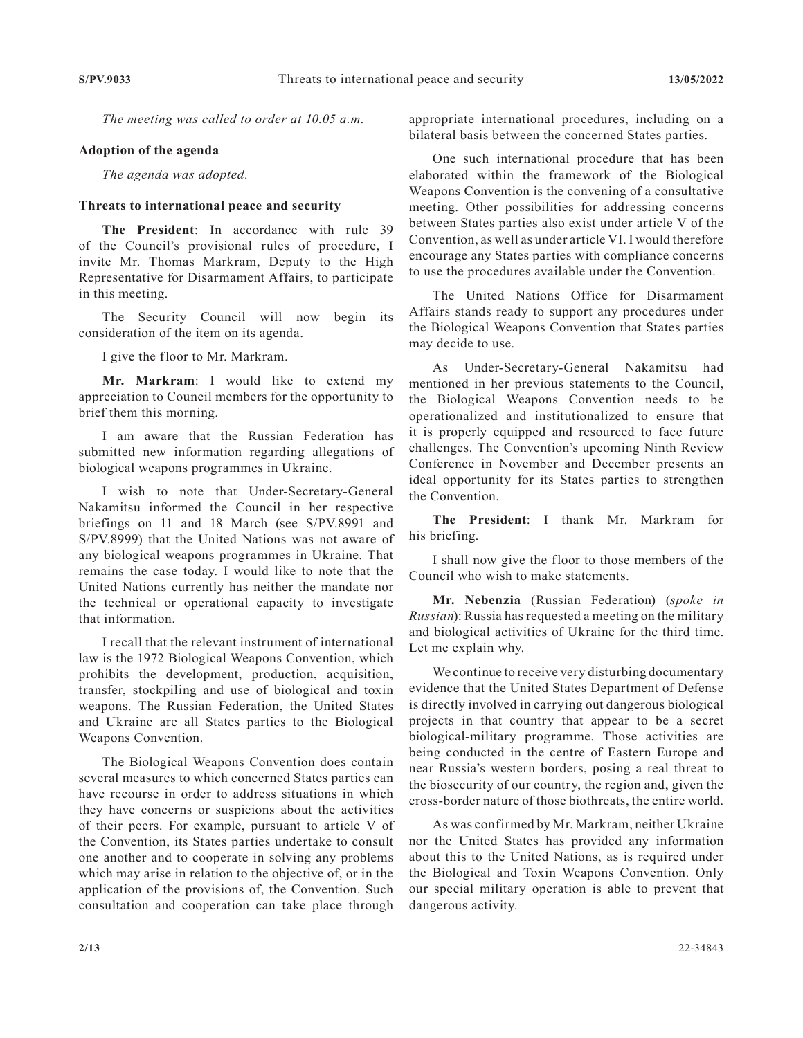*The meeting was called to order at 10.05 a.m.*

## **Adoption of the agenda**

*The agenda was adopted.*

## **Threats to international peace and security**

**The President**: In accordance with rule 39 of the Council's provisional rules of procedure, I invite Mr. Thomas Markram, Deputy to the High Representative for Disarmament Affairs, to participate in this meeting.

The Security Council will now begin its consideration of the item on its agenda.

I give the floor to Mr. Markram.

**Mr. Markram**: I would like to extend my appreciation to Council members for the opportunity to brief them this morning.

I am aware that the Russian Federation has submitted new information regarding allegations of biological weapons programmes in Ukraine.

I wish to note that Under-Secretary-General Nakamitsu informed the Council in her respective briefings on 11 and 18 March (see S/PV.8991 and S/PV.8999) that the United Nations was not aware of any biological weapons programmes in Ukraine. That remains the case today. I would like to note that the United Nations currently has neither the mandate nor the technical or operational capacity to investigate that information.

I recall that the relevant instrument of international law is the 1972 Biological Weapons Convention, which prohibits the development, production, acquisition, transfer, stockpiling and use of biological and toxin weapons. The Russian Federation, the United States and Ukraine are all States parties to the Biological Weapons Convention.

The Biological Weapons Convention does contain several measures to which concerned States parties can have recourse in order to address situations in which they have concerns or suspicions about the activities of their peers. For example, pursuant to article V of the Convention, its States parties undertake to consult one another and to cooperate in solving any problems which may arise in relation to the objective of, or in the application of the provisions of, the Convention. Such consultation and cooperation can take place through

appropriate international procedures, including on a bilateral basis between the concerned States parties.

One such international procedure that has been elaborated within the framework of the Biological Weapons Convention is the convening of a consultative meeting. Other possibilities for addressing concerns between States parties also exist under article V of the Convention, as well as under article VI. I would therefore encourage any States parties with compliance concerns to use the procedures available under the Convention.

The United Nations Office for Disarmament Affairs stands ready to support any procedures under the Biological Weapons Convention that States parties may decide to use.

As Under-Secretary-General Nakamitsu had mentioned in her previous statements to the Council, the Biological Weapons Convention needs to be operationalized and institutionalized to ensure that it is properly equipped and resourced to face future challenges. The Convention's upcoming Ninth Review Conference in November and December presents an ideal opportunity for its States parties to strengthen the Convention.

**The President**: I thank Mr. Markram for his briefing.

I shall now give the floor to those members of the Council who wish to make statements.

**Mr. Nebenzia** (Russian Federation) (*spoke in Russian*): Russia has requested a meeting on the military and biological activities of Ukraine for the third time. Let me explain why.

We continue to receive very disturbing documentary evidence that the United States Department of Defense is directly involved in carrying out dangerous biological projects in that country that appear to be a secret biological-military programme. Those activities are being conducted in the centre of Eastern Europe and near Russia's western borders, posing a real threat to the biosecurity of our country, the region and, given the cross-border nature of those biothreats, the entire world.

As was confirmed by Mr. Markram, neither Ukraine nor the United States has provided any information about this to the United Nations, as is required under the Biological and Toxin Weapons Convention. Only our special military operation is able to prevent that dangerous activity.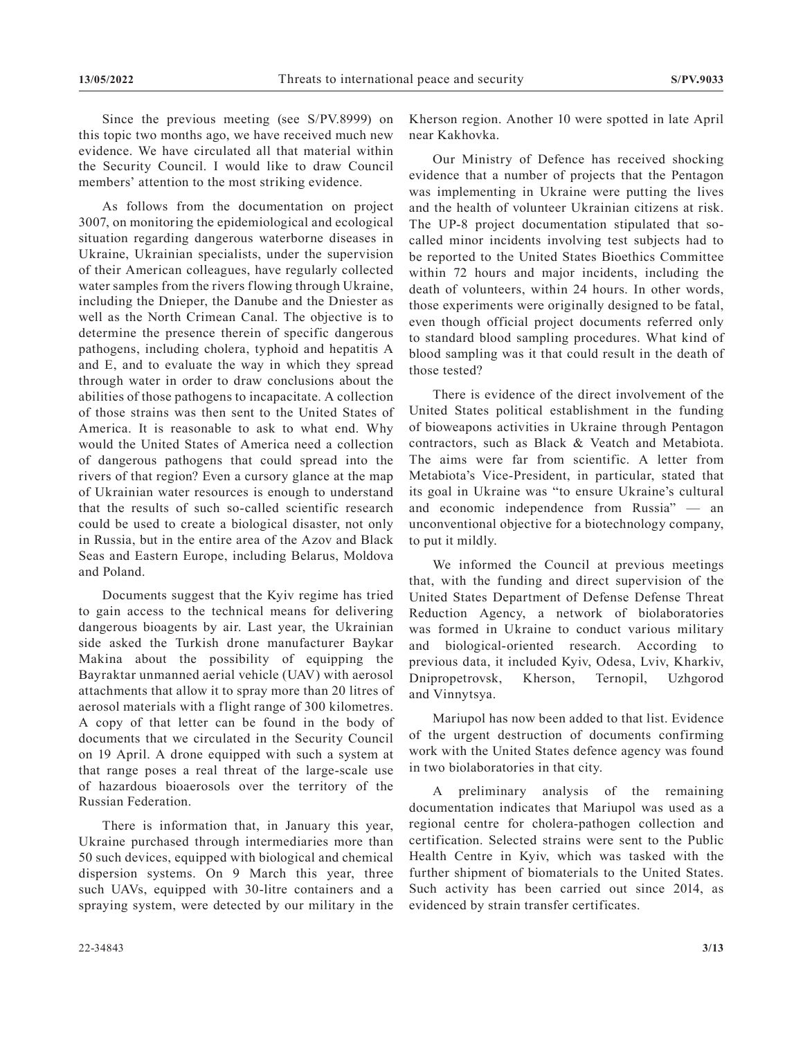Since the previous meeting (see S/PV.8999) on this topic two months ago, we have received much new evidence. We have circulated all that material within the Security Council. I would like to draw Council members' attention to the most striking evidence.

As follows from the documentation on project 3007, on monitoring the epidemiological and ecological situation regarding dangerous waterborne diseases in Ukraine, Ukrainian specialists, under the supervision of their American colleagues, have regularly collected water samples from the rivers flowing through Ukraine, including the Dnieper, the Danube and the Dniester as well as the North Crimean Canal. The objective is to determine the presence therein of specific dangerous pathogens, including cholera, typhoid and hepatitis A and E, and to evaluate the way in which they spread through water in order to draw conclusions about the abilities of those pathogens to incapacitate. A collection of those strains was then sent to the United States of America. It is reasonable to ask to what end. Why would the United States of America need a collection of dangerous pathogens that could spread into the rivers of that region? Even a cursory glance at the map of Ukrainian water resources is enough to understand that the results of such so-called scientific research could be used to create a biological disaster, not only in Russia, but in the entire area of the Azov and Black Seas and Eastern Europe, including Belarus, Moldova and Poland.

Documents suggest that the Kyiv regime has tried to gain access to the technical means for delivering dangerous bioagents by air. Last year, the Ukrainian side asked the Turkish drone manufacturer Baykar Makina about the possibility of equipping the Bayraktar unmanned aerial vehicle (UAV) with aerosol attachments that allow it to spray more than 20 litres of aerosol materials with a flight range of 300 kilometres. A copy of that letter can be found in the body of documents that we circulated in the Security Council on 19 April. A drone equipped with such a system at that range poses a real threat of the large-scale use of hazardous bioaerosols over the territory of the Russian Federation.

There is information that, in January this year, Ukraine purchased through intermediaries more than 50 such devices, equipped with biological and chemical dispersion systems. On 9 March this year, three such UAVs, equipped with 30-litre containers and a spraying system, were detected by our military in the Kherson region. Another 10 were spotted in late April near Kakhovka.

Our Ministry of Defence has received shocking evidence that a number of projects that the Pentagon was implementing in Ukraine were putting the lives and the health of volunteer Ukrainian citizens at risk. The UP-8 project documentation stipulated that socalled minor incidents involving test subjects had to be reported to the United States Bioethics Committee within 72 hours and major incidents, including the death of volunteers, within 24 hours. In other words, those experiments were originally designed to be fatal, even though official project documents referred only to standard blood sampling procedures. What kind of blood sampling was it that could result in the death of those tested?

There is evidence of the direct involvement of the United States political establishment in the funding of bioweapons activities in Ukraine through Pentagon contractors, such as Black & Veatch and Metabiota. The aims were far from scientific. A letter from Metabiota's Vice-President, in particular, stated that its goal in Ukraine was "to ensure Ukraine's cultural and economic independence from Russia" — an unconventional objective for a biotechnology company, to put it mildly.

We informed the Council at previous meetings that, with the funding and direct supervision of the United States Department of Defense Defense Threat Reduction Agency, a network of biolaboratories was formed in Ukraine to conduct various military and biological-oriented research. According to previous data, it included Kyiv, Odesa, Lviv, Kharkiv, Dnipropetrovsk, Kherson, Ternopil, Uzhgorod and Vinnytsya.

Mariupol has now been added to that list. Evidence of the urgent destruction of documents confirming work with the United States defence agency was found in two biolaboratories in that city.

A preliminary analysis of the remaining documentation indicates that Mariupol was used as a regional centre for cholera-pathogen collection and certification. Selected strains were sent to the Public Health Centre in Kyiv, which was tasked with the further shipment of biomaterials to the United States. Such activity has been carried out since 2014, as evidenced by strain transfer certificates.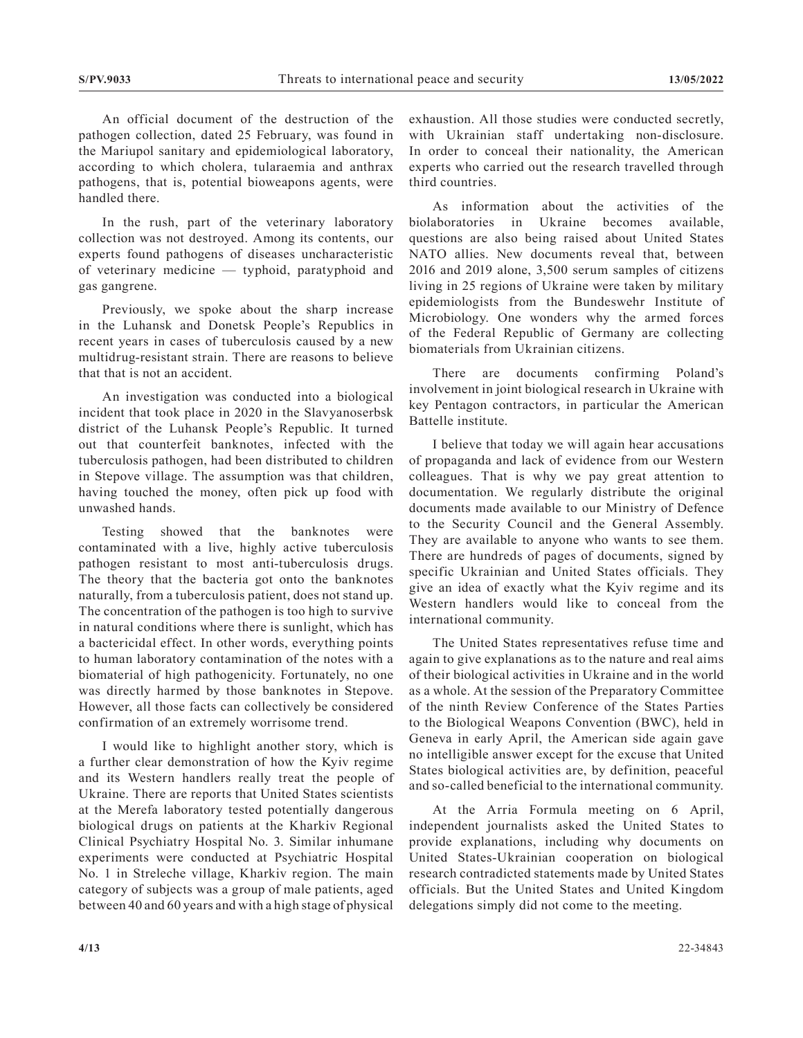An official document of the destruction of the pathogen collection, dated 25 February, was found in the Mariupol sanitary and epidemiological laboratory, according to which cholera, tularaemia and anthrax pathogens, that is, potential bioweapons agents, were handled there.

In the rush, part of the veterinary laboratory collection was not destroyed. Among its contents, our experts found pathogens of diseases uncharacteristic of veterinary medicine — typhoid, paratyphoid and gas gangrene.

Previously, we spoke about the sharp increase in the Luhansk and Donetsk People's Republics in recent years in cases of tuberculosis caused by a new multidrug-resistant strain. There are reasons to believe that that is not an accident.

An investigation was conducted into a biological incident that took place in 2020 in the Slavyanoserbsk district of the Luhansk People's Republic. It turned out that counterfeit banknotes, infected with the tuberculosis pathogen, had been distributed to children in Stepove village. The assumption was that children, having touched the money, often pick up food with unwashed hands.

Testing showed that the banknotes were contaminated with a live, highly active tuberculosis pathogen resistant to most anti-tuberculosis drugs. The theory that the bacteria got onto the banknotes naturally, from a tuberculosis patient, does not stand up. The concentration of the pathogen is too high to survive in natural conditions where there is sunlight, which has a bactericidal effect. In other words, everything points to human laboratory contamination of the notes with a biomaterial of high pathogenicity. Fortunately, no one was directly harmed by those banknotes in Stepove. However, all those facts can collectively be considered confirmation of an extremely worrisome trend.

I would like to highlight another story, which is a further clear demonstration of how the Kyiv regime and its Western handlers really treat the people of Ukraine. There are reports that United States scientists at the Merefa laboratory tested potentially dangerous biological drugs on patients at the Kharkiv Regional Clinical Psychiatry Hospital No. 3. Similar inhumane experiments were conducted at Psychiatric Hospital No. 1 in Streleche village, Kharkiv region. The main category of subjects was a group of male patients, aged between 40 and 60 years and with a high stage of physical

exhaustion. All those studies were conducted secretly, with Ukrainian staff undertaking non-disclosure. In order to conceal their nationality, the American experts who carried out the research travelled through third countries.

As information about the activities of the biolaboratories in Ukraine becomes available, questions are also being raised about United States NATO allies. New documents reveal that, between 2016 and 2019 alone, 3,500 serum samples of citizens living in 25 regions of Ukraine were taken by military epidemiologists from the Bundeswehr Institute of Microbiology. One wonders why the armed forces of the Federal Republic of Germany are collecting biomaterials from Ukrainian citizens.

There are documents confirming Poland's involvement in joint biological research in Ukraine with key Pentagon contractors, in particular the American Battelle institute.

I believe that today we will again hear accusations of propaganda and lack of evidence from our Western colleagues. That is why we pay great attention to documentation. We regularly distribute the original documents made available to our Ministry of Defence to the Security Council and the General Assembly. They are available to anyone who wants to see them. There are hundreds of pages of documents, signed by specific Ukrainian and United States officials. They give an idea of exactly what the Kyiv regime and its Western handlers would like to conceal from the international community.

The United States representatives refuse time and again to give explanations as to the nature and real aims of their biological activities in Ukraine and in the world as a whole. At the session of the Preparatory Committee of the ninth Review Conference of the States Parties to the Biological Weapons Convention (BWC), held in Geneva in early April, the American side again gave no intelligible answer except for the excuse that United States biological activities are, by definition, peaceful and so-called beneficial to the international community.

At the Arria Formula meeting on 6 April, independent journalists asked the United States to provide explanations, including why documents on United States-Ukrainian cooperation on biological research contradicted statements made by United States officials. But the United States and United Kingdom delegations simply did not come to the meeting.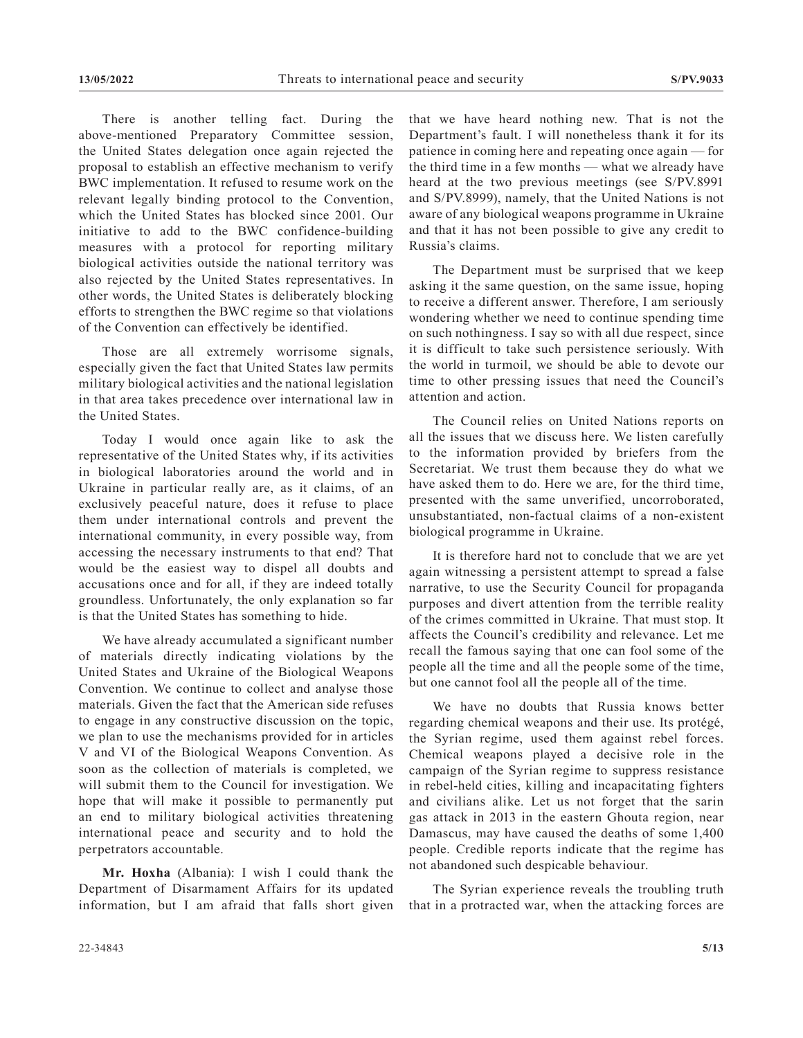There is another telling fact. During the above-mentioned Preparatory Committee session, the United States delegation once again rejected the proposal to establish an effective mechanism to verify BWC implementation. It refused to resume work on the relevant legally binding protocol to the Convention, which the United States has blocked since 2001. Our initiative to add to the BWC confidence-building measures with a protocol for reporting military biological activities outside the national territory was also rejected by the United States representatives. In other words, the United States is deliberately blocking efforts to strengthen the BWC regime so that violations of the Convention can effectively be identified.

Those are all extremely worrisome signals, especially given the fact that United States law permits military biological activities and the national legislation in that area takes precedence over international law in the United States.

Today I would once again like to ask the representative of the United States why, if its activities in biological laboratories around the world and in Ukraine in particular really are, as it claims, of an exclusively peaceful nature, does it refuse to place them under international controls and prevent the international community, in every possible way, from accessing the necessary instruments to that end? That would be the easiest way to dispel all doubts and accusations once and for all, if they are indeed totally groundless. Unfortunately, the only explanation so far is that the United States has something to hide.

We have already accumulated a significant number of materials directly indicating violations by the United States and Ukraine of the Biological Weapons Convention. We continue to collect and analyse those materials. Given the fact that the American side refuses to engage in any constructive discussion on the topic, we plan to use the mechanisms provided for in articles V and VI of the Biological Weapons Convention. As soon as the collection of materials is completed, we will submit them to the Council for investigation. We hope that will make it possible to permanently put an end to military biological activities threatening international peace and security and to hold the perpetrators accountable.

**Mr. Hoxha** (Albania): I wish I could thank the Department of Disarmament Affairs for its updated information, but I am afraid that falls short given that we have heard nothing new. That is not the Department's fault. I will nonetheless thank it for its patience in coming here and repeating once again — for the third time in a few months — what we already have heard at the two previous meetings (see S/PV.8991 and S/PV.8999), namely, that the United Nations is not aware of any biological weapons programme in Ukraine and that it has not been possible to give any credit to Russia's claims.

The Department must be surprised that we keep asking it the same question, on the same issue, hoping to receive a different answer. Therefore, I am seriously wondering whether we need to continue spending time on such nothingness. I say so with all due respect, since it is difficult to take such persistence seriously. With the world in turmoil, we should be able to devote our time to other pressing issues that need the Council's attention and action.

The Council relies on United Nations reports on all the issues that we discuss here. We listen carefully to the information provided by briefers from the Secretariat. We trust them because they do what we have asked them to do. Here we are, for the third time, presented with the same unverified, uncorroborated, unsubstantiated, non-factual claims of a non-existent biological programme in Ukraine.

It is therefore hard not to conclude that we are yet again witnessing a persistent attempt to spread a false narrative, to use the Security Council for propaganda purposes and divert attention from the terrible reality of the crimes committed in Ukraine. That must stop. It affects the Council's credibility and relevance. Let me recall the famous saying that one can fool some of the people all the time and all the people some of the time, but one cannot fool all the people all of the time.

We have no doubts that Russia knows better regarding chemical weapons and their use. Its protégé, the Syrian regime, used them against rebel forces. Chemical weapons played a decisive role in the campaign of the Syrian regime to suppress resistance in rebel-held cities, killing and incapacitating fighters and civilians alike. Let us not forget that the sarin gas attack in 2013 in the eastern Ghouta region, near Damascus, may have caused the deaths of some 1,400 people. Credible reports indicate that the regime has not abandoned such despicable behaviour.

The Syrian experience reveals the troubling truth that in a protracted war, when the attacking forces are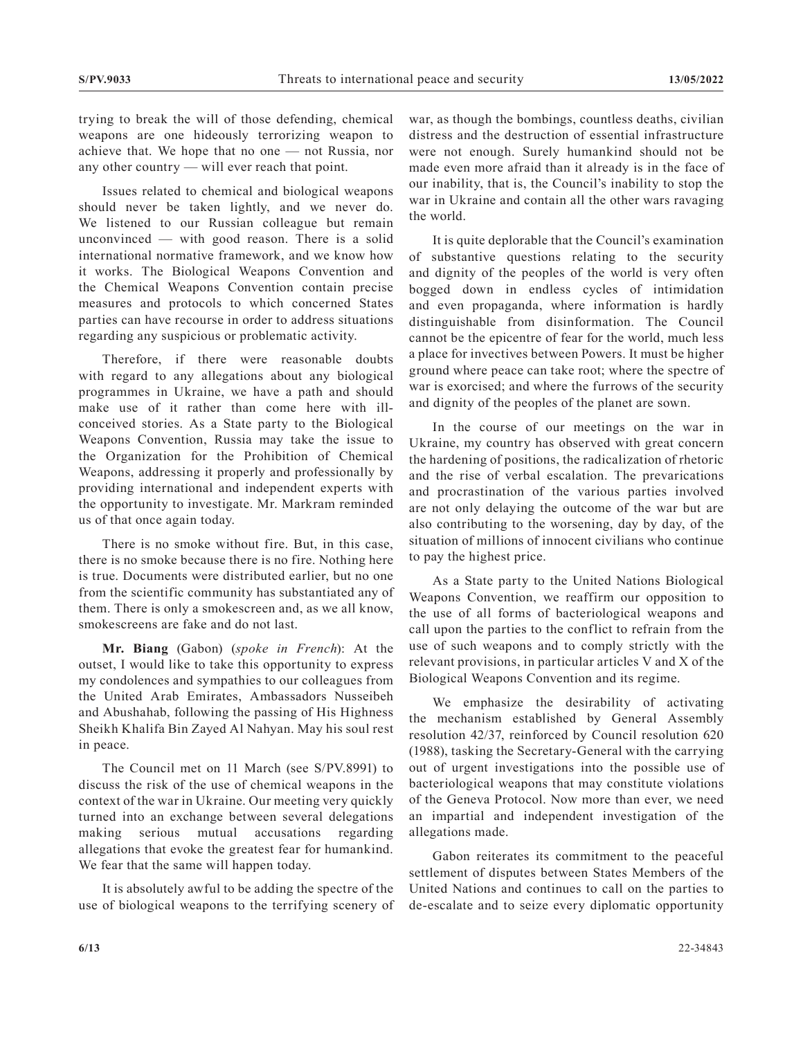trying to break the will of those defending, chemical weapons are one hideously terrorizing weapon to achieve that. We hope that no one — not Russia, nor any other country — will ever reach that point.

Issues related to chemical and biological weapons should never be taken lightly, and we never do. We listened to our Russian colleague but remain unconvinced — with good reason. There is a solid international normative framework, and we know how it works. The Biological Weapons Convention and the Chemical Weapons Convention contain precise measures and protocols to which concerned States parties can have recourse in order to address situations regarding any suspicious or problematic activity.

Therefore, if there were reasonable doubts with regard to any allegations about any biological programmes in Ukraine, we have a path and should make use of it rather than come here with illconceived stories. As a State party to the Biological Weapons Convention, Russia may take the issue to the Organization for the Prohibition of Chemical Weapons, addressing it properly and professionally by providing international and independent experts with the opportunity to investigate. Mr. Markram reminded us of that once again today.

There is no smoke without fire. But, in this case, there is no smoke because there is no fire. Nothing here is true. Documents were distributed earlier, but no one from the scientific community has substantiated any of them. There is only a smokescreen and, as we all know, smokescreens are fake and do not last.

**Mr. Biang** (Gabon) (*spoke in French*): At the outset, I would like to take this opportunity to express my condolences and sympathies to our colleagues from the United Arab Emirates, Ambassadors Nusseibeh and Abushahab, following the passing of His Highness Sheikh Khalifa Bin Zayed Al Nahyan. May his soul rest in peace.

The Council met on 11 March (see S/PV.8991) to discuss the risk of the use of chemical weapons in the context of the war in Ukraine. Our meeting very quickly turned into an exchange between several delegations making serious mutual accusations regarding allegations that evoke the greatest fear for humankind. We fear that the same will happen today.

It is absolutely awful to be adding the spectre of the use of biological weapons to the terrifying scenery of war, as though the bombings, countless deaths, civilian distress and the destruction of essential infrastructure were not enough. Surely humankind should not be made even more afraid than it already is in the face of our inability, that is, the Council's inability to stop the war in Ukraine and contain all the other wars ravaging the world.

It is quite deplorable that the Council's examination of substantive questions relating to the security and dignity of the peoples of the world is very often bogged down in endless cycles of intimidation and even propaganda, where information is hardly distinguishable from disinformation. The Council cannot be the epicentre of fear for the world, much less a place for invectives between Powers. It must be higher ground where peace can take root; where the spectre of war is exorcised; and where the furrows of the security and dignity of the peoples of the planet are sown.

In the course of our meetings on the war in Ukraine, my country has observed with great concern the hardening of positions, the radicalization of rhetoric and the rise of verbal escalation. The prevarications and procrastination of the various parties involved are not only delaying the outcome of the war but are also contributing to the worsening, day by day, of the situation of millions of innocent civilians who continue to pay the highest price.

As a State party to the United Nations Biological Weapons Convention, we reaffirm our opposition to the use of all forms of bacteriological weapons and call upon the parties to the conflict to refrain from the use of such weapons and to comply strictly with the relevant provisions, in particular articles V and X of the Biological Weapons Convention and its regime.

We emphasize the desirability of activating the mechanism established by General Assembly resolution 42/37, reinforced by Council resolution 620 (1988), tasking the Secretary-General with the carrying out of urgent investigations into the possible use of bacteriological weapons that may constitute violations of the Geneva Protocol. Now more than ever, we need an impartial and independent investigation of the allegations made.

Gabon reiterates its commitment to the peaceful settlement of disputes between States Members of the United Nations and continues to call on the parties to de-escalate and to seize every diplomatic opportunity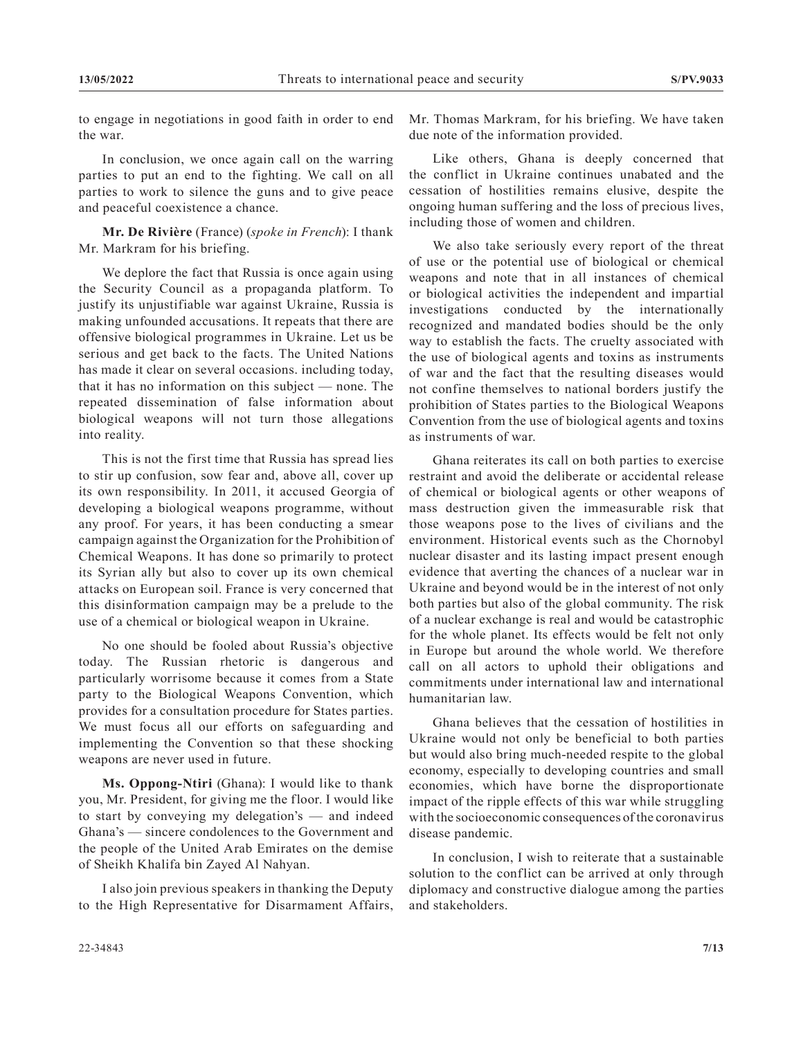to engage in negotiations in good faith in order to end the war.

In conclusion, we once again call on the warring parties to put an end to the fighting. We call on all parties to work to silence the guns and to give peace and peaceful coexistence a chance.

**Mr. De Rivière** (France) (*spoke in French*): I thank Mr. Markram for his briefing.

We deplore the fact that Russia is once again using the Security Council as a propaganda platform. To justify its unjustifiable war against Ukraine, Russia is making unfounded accusations. It repeats that there are offensive biological programmes in Ukraine. Let us be serious and get back to the facts. The United Nations has made it clear on several occasions. including today, that it has no information on this subject — none. The repeated dissemination of false information about biological weapons will not turn those allegations into reality.

This is not the first time that Russia has spread lies to stir up confusion, sow fear and, above all, cover up its own responsibility. In 2011, it accused Georgia of developing a biological weapons programme, without any proof. For years, it has been conducting a smear campaign against the Organization for the Prohibition of Chemical Weapons. It has done so primarily to protect its Syrian ally but also to cover up its own chemical attacks on European soil. France is very concerned that this disinformation campaign may be a prelude to the use of a chemical or biological weapon in Ukraine.

No one should be fooled about Russia's objective today. The Russian rhetoric is dangerous and particularly worrisome because it comes from a State party to the Biological Weapons Convention, which provides for a consultation procedure for States parties. We must focus all our efforts on safeguarding and implementing the Convention so that these shocking weapons are never used in future.

**Ms. Oppong-Ntiri** (Ghana): I would like to thank you, Mr. President, for giving me the floor. I would like to start by conveying my delegation's — and indeed Ghana's — sincere condolences to the Government and the people of the United Arab Emirates on the demise of Sheikh Khalifa bin Zayed Al Nahyan.

I also join previous speakers in thanking the Deputy to the High Representative for Disarmament Affairs, Mr. Thomas Markram, for his briefing. We have taken due note of the information provided.

Like others, Ghana is deeply concerned that the conflict in Ukraine continues unabated and the cessation of hostilities remains elusive, despite the ongoing human suffering and the loss of precious lives, including those of women and children.

We also take seriously every report of the threat of use or the potential use of biological or chemical weapons and note that in all instances of chemical or biological activities the independent and impartial investigations conducted by the internationally recognized and mandated bodies should be the only way to establish the facts. The cruelty associated with the use of biological agents and toxins as instruments of war and the fact that the resulting diseases would not confine themselves to national borders justify the prohibition of States parties to the Biological Weapons Convention from the use of biological agents and toxins as instruments of war.

Ghana reiterates its call on both parties to exercise restraint and avoid the deliberate or accidental release of chemical or biological agents or other weapons of mass destruction given the immeasurable risk that those weapons pose to the lives of civilians and the environment. Historical events such as the Chornobyl nuclear disaster and its lasting impact present enough evidence that averting the chances of a nuclear war in Ukraine and beyond would be in the interest of not only both parties but also of the global community. The risk of a nuclear exchange is real and would be catastrophic for the whole planet. Its effects would be felt not only in Europe but around the whole world. We therefore call on all actors to uphold their obligations and commitments under international law and international humanitarian law.

Ghana believes that the cessation of hostilities in Ukraine would not only be beneficial to both parties but would also bring much-needed respite to the global economy, especially to developing countries and small economies, which have borne the disproportionate impact of the ripple effects of this war while struggling with the socioeconomic consequences of the coronavirus disease pandemic.

In conclusion, I wish to reiterate that a sustainable solution to the conflict can be arrived at only through diplomacy and constructive dialogue among the parties and stakeholders.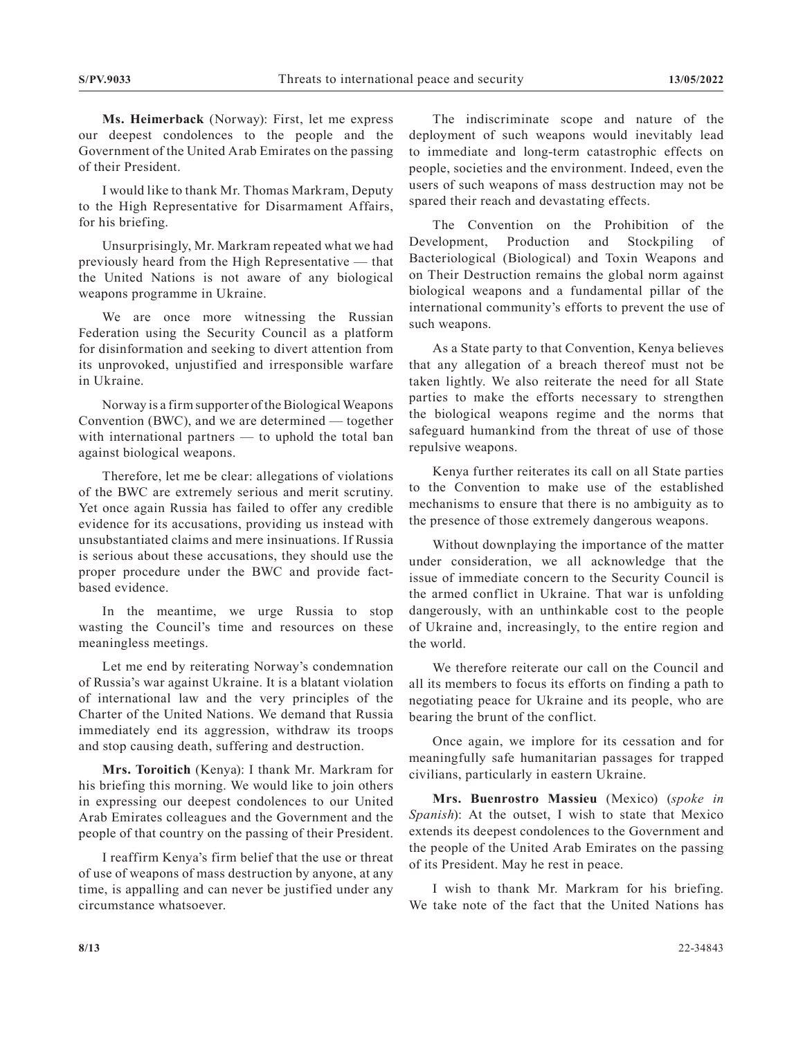**Ms. Heimerback** (Norway): First, let me express our deepest condolences to the people and the Government of the United Arab Emirates on the passing of their President.

I would like to thank Mr. Thomas Markram, Deputy to the High Representative for Disarmament Affairs, for his briefing.

Unsurprisingly, Mr. Markram repeated what we had previously heard from the High Representative — that the United Nations is not aware of any biological weapons programme in Ukraine.

We are once more witnessing the Russian Federation using the Security Council as a platform for disinformation and seeking to divert attention from its unprovoked, unjustified and irresponsible warfare in Ukraine.

Norway is a firm supporter of the Biological Weapons Convention (BWC), and we are determined — together with international partners — to uphold the total ban against biological weapons.

Therefore, let me be clear: allegations of violations of the BWC are extremely serious and merit scrutiny. Yet once again Russia has failed to offer any credible evidence for its accusations, providing us instead with unsubstantiated claims and mere insinuations. If Russia is serious about these accusations, they should use the proper procedure under the BWC and provide factbased evidence.

In the meantime, we urge Russia to stop wasting the Council's time and resources on these meaningless meetings.

Let me end by reiterating Norway's condemnation of Russia's war against Ukraine. It is a blatant violation of international law and the very principles of the Charter of the United Nations. We demand that Russia immediately end its aggression, withdraw its troops and stop causing death, suffering and destruction.

**Mrs. Toroitich** (Kenya): I thank Mr. Markram for his briefing this morning. We would like to join others in expressing our deepest condolences to our United Arab Emirates colleagues and the Government and the people of that country on the passing of their President.

I reaffirm Kenya's firm belief that the use or threat of use of weapons of mass destruction by anyone, at any time, is appalling and can never be justified under any circumstance whatsoever.

The indiscriminate scope and nature of the deployment of such weapons would inevitably lead to immediate and long-term catastrophic effects on people, societies and the environment. Indeed, even the users of such weapons of mass destruction may not be spared their reach and devastating effects.

The Convention on the Prohibition of the Development, Production and Stockpiling of Bacteriological (Biological) and Toxin Weapons and on Their Destruction remains the global norm against biological weapons and a fundamental pillar of the international community's efforts to prevent the use of such weapons.

As a State party to that Convention, Kenya believes that any allegation of a breach thereof must not be taken lightly. We also reiterate the need for all State parties to make the efforts necessary to strengthen the biological weapons regime and the norms that safeguard humankind from the threat of use of those repulsive weapons.

Kenya further reiterates its call on all State parties to the Convention to make use of the established mechanisms to ensure that there is no ambiguity as to the presence of those extremely dangerous weapons.

Without downplaying the importance of the matter under consideration, we all acknowledge that the issue of immediate concern to the Security Council is the armed conflict in Ukraine. That war is unfolding dangerously, with an unthinkable cost to the people of Ukraine and, increasingly, to the entire region and the world.

We therefore reiterate our call on the Council and all its members to focus its efforts on finding a path to negotiating peace for Ukraine and its people, who are bearing the brunt of the conflict.

Once again, we implore for its cessation and for meaningfully safe humanitarian passages for trapped civilians, particularly in eastern Ukraine.

**Mrs. Buenrostro Massieu** (Mexico) (*spoke in Spanish*): At the outset, I wish to state that Mexico extends its deepest condolences to the Government and the people of the United Arab Emirates on the passing of its President. May he rest in peace.

I wish to thank Mr. Markram for his briefing. We take note of the fact that the United Nations has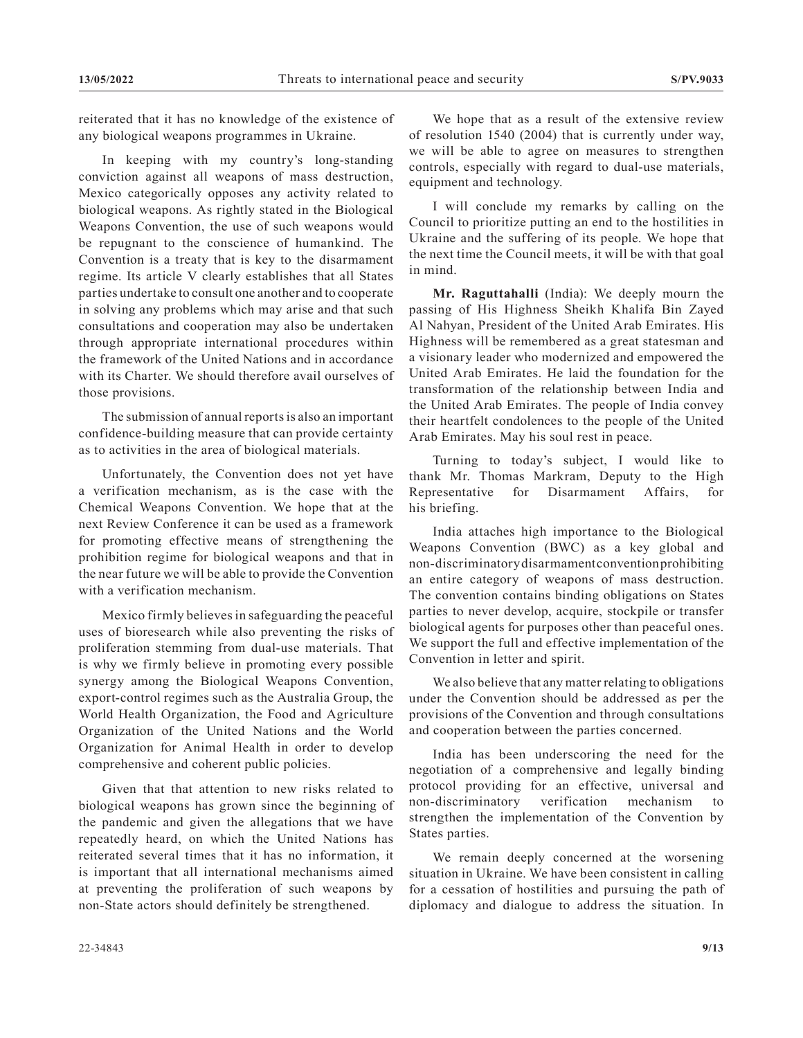reiterated that it has no knowledge of the existence of any biological weapons programmes in Ukraine.

In keeping with my country's long-standing conviction against all weapons of mass destruction, Mexico categorically opposes any activity related to biological weapons. As rightly stated in the Biological Weapons Convention, the use of such weapons would be repugnant to the conscience of humankind. The Convention is a treaty that is key to the disarmament regime. Its article V clearly establishes that all States parties undertake to consult one another and to cooperate in solving any problems which may arise and that such consultations and cooperation may also be undertaken through appropriate international procedures within the framework of the United Nations and in accordance with its Charter. We should therefore avail ourselves of those provisions.

The submission of annual reports is also an important confidence-building measure that can provide certainty as to activities in the area of biological materials.

Unfortunately, the Convention does not yet have a verification mechanism, as is the case with the Chemical Weapons Convention. We hope that at the next Review Conference it can be used as a framework for promoting effective means of strengthening the prohibition regime for biological weapons and that in the near future we will be able to provide the Convention with a verification mechanism.

Mexico firmly believes in safeguarding the peaceful uses of bioresearch while also preventing the risks of proliferation stemming from dual-use materials. That is why we firmly believe in promoting every possible synergy among the Biological Weapons Convention, export-control regimes such as the Australia Group, the World Health Organization, the Food and Agriculture Organization of the United Nations and the World Organization for Animal Health in order to develop comprehensive and coherent public policies.

Given that that attention to new risks related to biological weapons has grown since the beginning of the pandemic and given the allegations that we have repeatedly heard, on which the United Nations has reiterated several times that it has no information, it is important that all international mechanisms aimed at preventing the proliferation of such weapons by non-State actors should definitely be strengthened.

We hope that as a result of the extensive review of resolution 1540 (2004) that is currently under way, we will be able to agree on measures to strengthen controls, especially with regard to dual-use materials, equipment and technology.

I will conclude my remarks by calling on the Council to prioritize putting an end to the hostilities in Ukraine and the suffering of its people. We hope that the next time the Council meets, it will be with that goal in mind.

**Mr. Raguttahalli** (India): We deeply mourn the passing of His Highness Sheikh Khalifa Bin Zayed Al Nahyan, President of the United Arab Emirates. His Highness will be remembered as a great statesman and a visionary leader who modernized and empowered the United Arab Emirates. He laid the foundation for the transformation of the relationship between India and the United Arab Emirates. The people of India convey their heartfelt condolences to the people of the United Arab Emirates. May his soul rest in peace.

Turning to today's subject, I would like to thank Mr. Thomas Markram, Deputy to the High Representative for Disarmament Affairs, for his briefing.

India attaches high importance to the Biological Weapons Convention (BWC) as a key global and non-discriminatory disarmament convention prohibiting an entire category of weapons of mass destruction. The convention contains binding obligations on States parties to never develop, acquire, stockpile or transfer biological agents for purposes other than peaceful ones. We support the full and effective implementation of the Convention in letter and spirit.

We also believe that any matter relating to obligations under the Convention should be addressed as per the provisions of the Convention and through consultations and cooperation between the parties concerned.

India has been underscoring the need for the negotiation of a comprehensive and legally binding protocol providing for an effective, universal and non-discriminatory verification mechanism to strengthen the implementation of the Convention by States parties.

We remain deeply concerned at the worsening situation in Ukraine. We have been consistent in calling for a cessation of hostilities and pursuing the path of diplomacy and dialogue to address the situation. In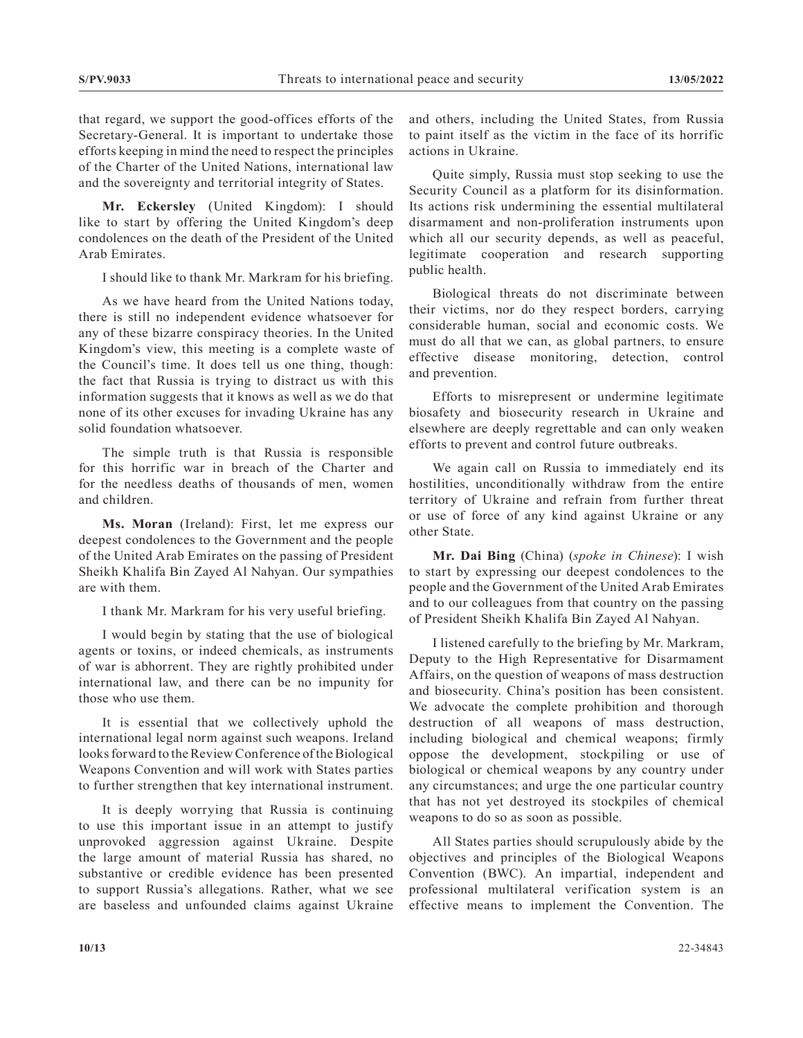that regard, we support the good-offices efforts of the Secretary-General. It is important to undertake those efforts keeping in mind the need to respect the principles of the Charter of the United Nations, international law and the sovereignty and territorial integrity of States.

**Mr. Eckersley** (United Kingdom): I should like to start by offering the United Kingdom's deep condolences on the death of the President of the United Arab Emirates.

I should like to thank Mr. Markram for his briefing.

As we have heard from the United Nations today, there is still no independent evidence whatsoever for any of these bizarre conspiracy theories. In the United Kingdom's view, this meeting is a complete waste of the Council's time. It does tell us one thing, though: the fact that Russia is trying to distract us with this information suggests that it knows as well as we do that none of its other excuses for invading Ukraine has any solid foundation whatsoever.

The simple truth is that Russia is responsible for this horrific war in breach of the Charter and for the needless deaths of thousands of men, women and children.

**Ms. Moran** (Ireland): First, let me express our deepest condolences to the Government and the people of the United Arab Emirates on the passing of President Sheikh Khalifa Bin Zayed Al Nahyan. Our sympathies are with them.

I thank Mr. Markram for his very useful briefing.

I would begin by stating that the use of biological agents or toxins, or indeed chemicals, as instruments of war is abhorrent. They are rightly prohibited under international law, and there can be no impunity for those who use them.

It is essential that we collectively uphold the international legal norm against such weapons. Ireland looks forward to the Review Conference of the Biological Weapons Convention and will work with States parties to further strengthen that key international instrument.

It is deeply worrying that Russia is continuing to use this important issue in an attempt to justify unprovoked aggression against Ukraine. Despite the large amount of material Russia has shared, no substantive or credible evidence has been presented to support Russia's allegations. Rather, what we see are baseless and unfounded claims against Ukraine

and others, including the United States, from Russia to paint itself as the victim in the face of its horrific actions in Ukraine.

Quite simply, Russia must stop seeking to use the Security Council as a platform for its disinformation. Its actions risk undermining the essential multilateral disarmament and non-proliferation instruments upon which all our security depends, as well as peaceful, legitimate cooperation and research supporting public health.

Biological threats do not discriminate between their victims, nor do they respect borders, carrying considerable human, social and economic costs. We must do all that we can, as global partners, to ensure effective disease monitoring, detection, control and prevention.

Efforts to misrepresent or undermine legitimate biosafety and biosecurity research in Ukraine and elsewhere are deeply regrettable and can only weaken efforts to prevent and control future outbreaks.

We again call on Russia to immediately end its hostilities, unconditionally withdraw from the entire territory of Ukraine and refrain from further threat or use of force of any kind against Ukraine or any other State.

**Mr. Dai Bing** (China) (*spoke in Chinese*): I wish to start by expressing our deepest condolences to the people and the Government of the United Arab Emirates and to our colleagues from that country on the passing of President Sheikh Khalifa Bin Zayed Al Nahyan.

I listened carefully to the briefing by Mr. Markram, Deputy to the High Representative for Disarmament Affairs, on the question of weapons of mass destruction and biosecurity. China's position has been consistent. We advocate the complete prohibition and thorough destruction of all weapons of mass destruction, including biological and chemical weapons; firmly oppose the development, stockpiling or use of biological or chemical weapons by any country under any circumstances; and urge the one particular country that has not yet destroyed its stockpiles of chemical weapons to do so as soon as possible.

All States parties should scrupulously abide by the objectives and principles of the Biological Weapons Convention (BWC). An impartial, independent and professional multilateral verification system is an effective means to implement the Convention. The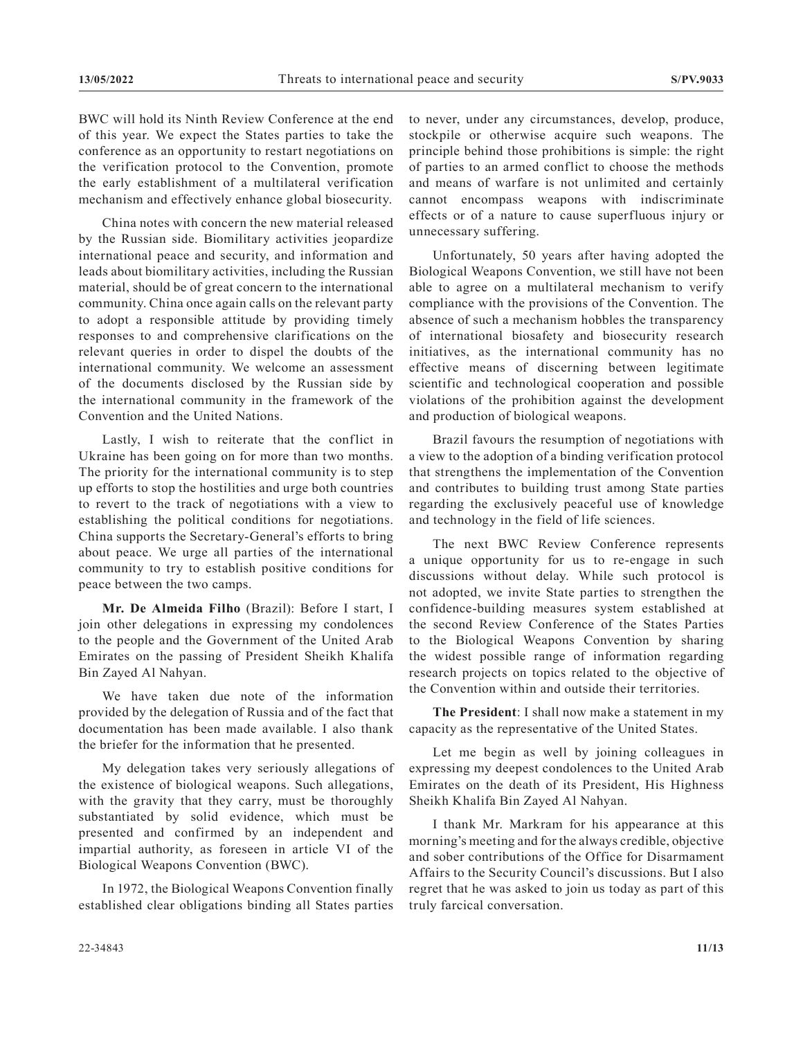BWC will hold its Ninth Review Conference at the end of this year. We expect the States parties to take the conference as an opportunity to restart negotiations on the verification protocol to the Convention, promote the early establishment of a multilateral verification mechanism and effectively enhance global biosecurity.

China notes with concern the new material released by the Russian side. Biomilitary activities jeopardize international peace and security, and information and leads about biomilitary activities, including the Russian material, should be of great concern to the international community. China once again calls on the relevant party to adopt a responsible attitude by providing timely responses to and comprehensive clarifications on the relevant queries in order to dispel the doubts of the international community. We welcome an assessment of the documents disclosed by the Russian side by the international community in the framework of the Convention and the United Nations.

Lastly, I wish to reiterate that the conflict in Ukraine has been going on for more than two months. The priority for the international community is to step up efforts to stop the hostilities and urge both countries to revert to the track of negotiations with a view to establishing the political conditions for negotiations. China supports the Secretary-General's efforts to bring about peace. We urge all parties of the international community to try to establish positive conditions for peace between the two camps.

**Mr. De Almeida Filho** (Brazil): Before I start, I join other delegations in expressing my condolences to the people and the Government of the United Arab Emirates on the passing of President Sheikh Khalifa Bin Zayed Al Nahyan.

We have taken due note of the information provided by the delegation of Russia and of the fact that documentation has been made available. I also thank the briefer for the information that he presented.

My delegation takes very seriously allegations of the existence of biological weapons. Such allegations, with the gravity that they carry, must be thoroughly substantiated by solid evidence, which must be presented and confirmed by an independent and impartial authority, as foreseen in article VI of the Biological Weapons Convention (BWC).

In 1972, the Biological Weapons Convention finally established clear obligations binding all States parties to never, under any circumstances, develop, produce, stockpile or otherwise acquire such weapons. The principle behind those prohibitions is simple: the right of parties to an armed conflict to choose the methods and means of warfare is not unlimited and certainly cannot encompass weapons with indiscriminate effects or of a nature to cause superfluous injury or unnecessary suffering.

Unfortunately, 50 years after having adopted the Biological Weapons Convention, we still have not been able to agree on a multilateral mechanism to verify compliance with the provisions of the Convention. The absence of such a mechanism hobbles the transparency of international biosafety and biosecurity research initiatives, as the international community has no effective means of discerning between legitimate scientific and technological cooperation and possible violations of the prohibition against the development and production of biological weapons.

Brazil favours the resumption of negotiations with a view to the adoption of a binding verification protocol that strengthens the implementation of the Convention and contributes to building trust among State parties regarding the exclusively peaceful use of knowledge and technology in the field of life sciences.

The next BWC Review Conference represents a unique opportunity for us to re-engage in such discussions without delay. While such protocol is not adopted, we invite State parties to strengthen the confidence-building measures system established at the second Review Conference of the States Parties to the Biological Weapons Convention by sharing the widest possible range of information regarding research projects on topics related to the objective of the Convention within and outside their territories.

**The President**: I shall now make a statement in my capacity as the representative of the United States.

Let me begin as well by joining colleagues in expressing my deepest condolences to the United Arab Emirates on the death of its President, His Highness Sheikh Khalifa Bin Zayed Al Nahyan.

I thank Mr. Markram for his appearance at this morning's meeting and for the always credible, objective and sober contributions of the Office for Disarmament Affairs to the Security Council's discussions. But I also regret that he was asked to join us today as part of this truly farcical conversation.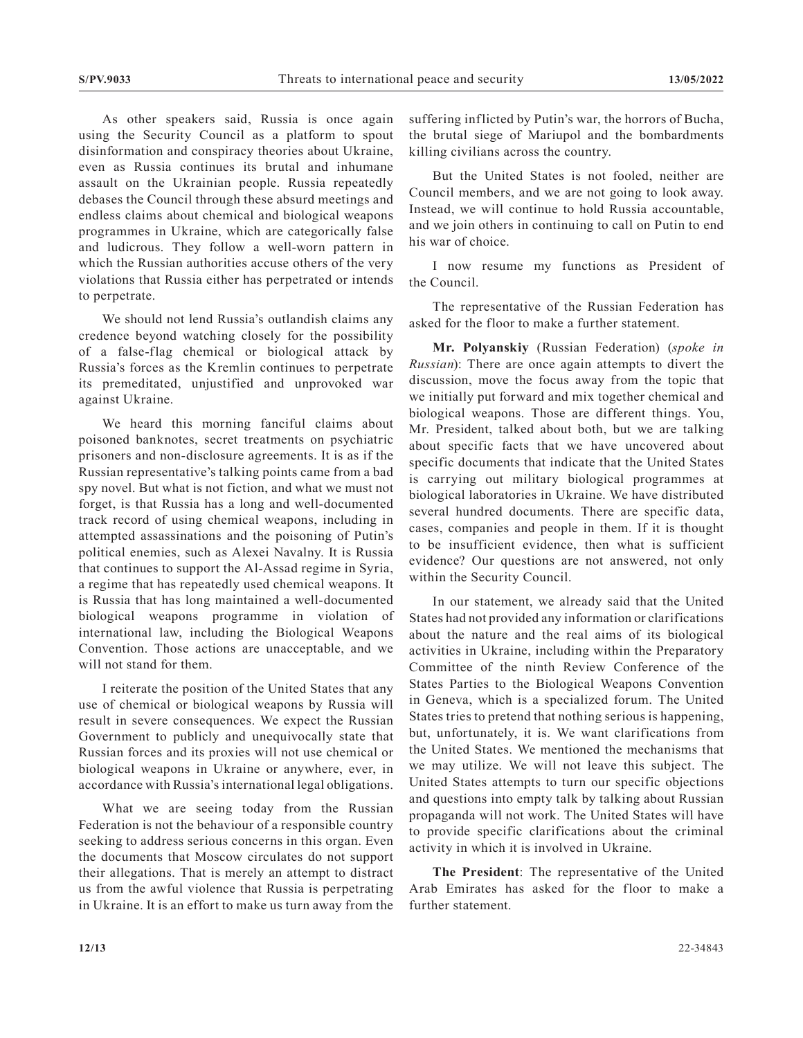As other speakers said, Russia is once again using the Security Council as a platform to spout disinformation and conspiracy theories about Ukraine, even as Russia continues its brutal and inhumane assault on the Ukrainian people. Russia repeatedly debases the Council through these absurd meetings and endless claims about chemical and biological weapons programmes in Ukraine, which are categorically false and ludicrous. They follow a well-worn pattern in which the Russian authorities accuse others of the very violations that Russia either has perpetrated or intends to perpetrate.

We should not lend Russia's outlandish claims any credence beyond watching closely for the possibility of a false-flag chemical or biological attack by Russia's forces as the Kremlin continues to perpetrate its premeditated, unjustified and unprovoked war against Ukraine.

We heard this morning fanciful claims about poisoned banknotes, secret treatments on psychiatric prisoners and non-disclosure agreements. It is as if the Russian representative's talking points came from a bad spy novel. But what is not fiction, and what we must not forget, is that Russia has a long and well-documented track record of using chemical weapons, including in attempted assassinations and the poisoning of Putin's political enemies, such as Alexei Navalny. It is Russia that continues to support the Al-Assad regime in Syria, a regime that has repeatedly used chemical weapons. It is Russia that has long maintained a well-documented biological weapons programme in violation of international law, including the Biological Weapons Convention. Those actions are unacceptable, and we will not stand for them.

I reiterate the position of the United States that any use of chemical or biological weapons by Russia will result in severe consequences. We expect the Russian Government to publicly and unequivocally state that Russian forces and its proxies will not use chemical or biological weapons in Ukraine or anywhere, ever, in accordance with Russia's international legal obligations.

What we are seeing today from the Russian Federation is not the behaviour of a responsible country seeking to address serious concerns in this organ. Even the documents that Moscow circulates do not support their allegations. That is merely an attempt to distract us from the awful violence that Russia is perpetrating in Ukraine. It is an effort to make us turn away from the

suffering inflicted by Putin's war, the horrors of Bucha, the brutal siege of Mariupol and the bombardments killing civilians across the country.

But the United States is not fooled, neither are Council members, and we are not going to look away. Instead, we will continue to hold Russia accountable, and we join others in continuing to call on Putin to end his war of choice.

I now resume my functions as President of the Council.

The representative of the Russian Federation has asked for the floor to make a further statement.

**Mr. Polyanskiy** (Russian Federation) (*spoke in Russian*): There are once again attempts to divert the discussion, move the focus away from the topic that we initially put forward and mix together chemical and biological weapons. Those are different things. You, Mr. President, talked about both, but we are talking about specific facts that we have uncovered about specific documents that indicate that the United States is carrying out military biological programmes at biological laboratories in Ukraine. We have distributed several hundred documents. There are specific data, cases, companies and people in them. If it is thought to be insufficient evidence, then what is sufficient evidence? Our questions are not answered, not only within the Security Council.

In our statement, we already said that the United States had not provided any information or clarifications about the nature and the real aims of its biological activities in Ukraine, including within the Preparatory Committee of the ninth Review Conference of the States Parties to the Biological Weapons Convention in Geneva, which is a specialized forum. The United States tries to pretend that nothing serious is happening, but, unfortunately, it is. We want clarifications from the United States. We mentioned the mechanisms that we may utilize. We will not leave this subject. The United States attempts to turn our specific objections and questions into empty talk by talking about Russian propaganda will not work. The United States will have to provide specific clarifications about the criminal activity in which it is involved in Ukraine.

**The President**: The representative of the United Arab Emirates has asked for the floor to make a further statement.